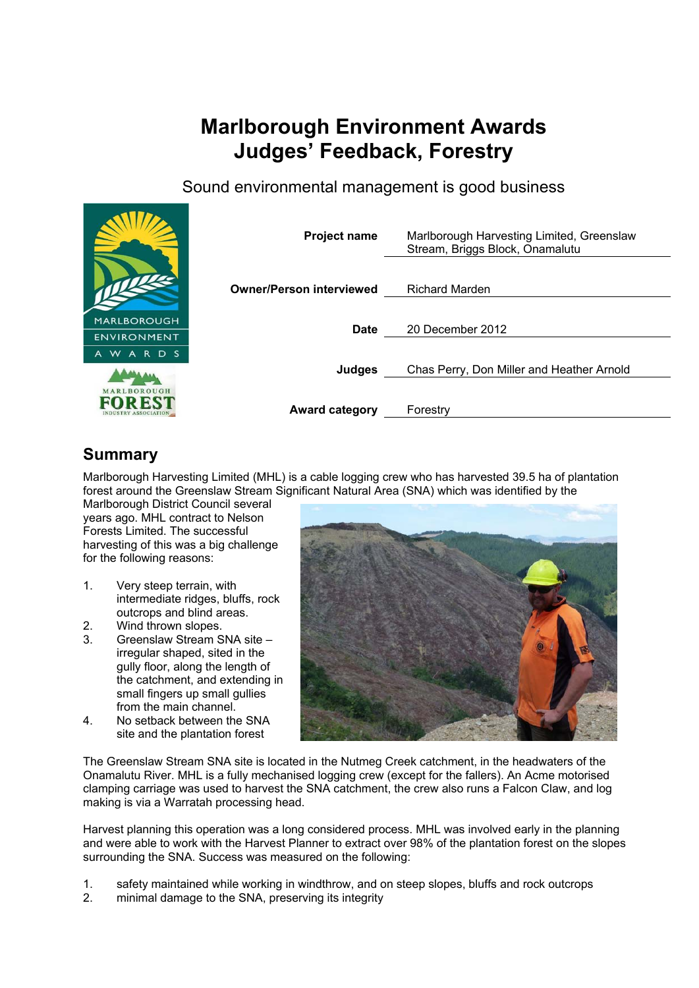# **Marlborough Environment Awards Judges' Feedback, Forestry**

Sound environmental management is good business



# **Summary**

Marlborough Harvesting Limited (MHL) is a cable logging crew who has harvested 39.5 ha of plantation forest around the Greenslaw Stream Significant Natural Area (SNA) which was identified by the

Marlborough District Council several years ago. MHL contract to Nelson Forests Limited. The successful harvesting of this was a big challenge for the following reasons:

- 1. Very steep terrain, with intermediate ridges, bluffs, rock outcrops and blind areas.
- 2. Wind thrown slopes.
- 3. Greenslaw Stream SNA site irregular shaped, sited in the gully floor, along the length of the catchment, and extending in small fingers up small gullies from the main channel.
- 4. No setback between the SNA site and the plantation forest



The Greenslaw Stream SNA site is located in the Nutmeg Creek catchment, in the headwaters of the Onamalutu River. MHL is a fully mechanised logging crew (except for the fallers). An Acme motorised clamping carriage was used to harvest the SNA catchment, the crew also runs a Falcon Claw, and log making is via a Warratah processing head.

Harvest planning this operation was a long considered process. MHL was involved early in the planning and were able to work with the Harvest Planner to extract over 98% of the plantation forest on the slopes surrounding the SNA. Success was measured on the following:

- 1. safety maintained while working in windthrow, and on steep slopes, bluffs and rock outcrops
- 2. minimal damage to the SNA, preserving its integrity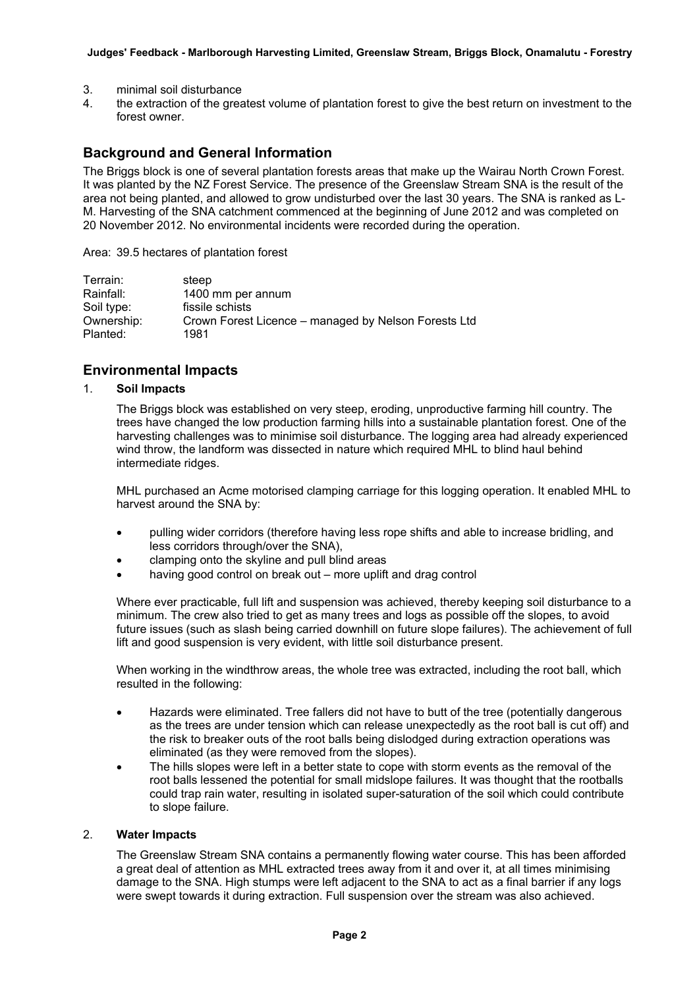- 3. minimal soil disturbance
- 4. the extraction of the greatest volume of plantation forest to give the best return on investment to the forest owner.

# **Background and General Information**

The Briggs block is one of several plantation forests areas that make up the Wairau North Crown Forest. It was planted by the NZ Forest Service. The presence of the Greenslaw Stream SNA is the result of the area not being planted, and allowed to grow undisturbed over the last 30 years. The SNA is ranked as L-M. Harvesting of the SNA catchment commenced at the beginning of June 2012 and was completed on 20 November 2012. No environmental incidents were recorded during the operation.

Area: 39.5 hectares of plantation forest

| Terrain:   | steep                                                |
|------------|------------------------------------------------------|
| Rainfall:  | 1400 mm per annum                                    |
| Soil type: | fissile schists                                      |
| Ownership: | Crown Forest Licence – managed by Nelson Forests Ltd |
| Planted:   | 1981                                                 |

### **Environmental Impacts**

#### 1. **Soil Impacts**

The Briggs block was established on very steep, eroding, unproductive farming hill country. The trees have changed the low production farming hills into a sustainable plantation forest. One of the harvesting challenges was to minimise soil disturbance. The logging area had already experienced wind throw, the landform was dissected in nature which required MHL to blind haul behind intermediate ridges.

MHL purchased an Acme motorised clamping carriage for this logging operation. It enabled MHL to harvest around the SNA by:

- pulling wider corridors (therefore having less rope shifts and able to increase bridling, and less corridors through/over the SNA),
- clamping onto the skyline and pull blind areas
- having good control on break out more uplift and drag control

Where ever practicable, full lift and suspension was achieved, thereby keeping soil disturbance to a minimum. The crew also tried to get as many trees and logs as possible off the slopes, to avoid future issues (such as slash being carried downhill on future slope failures). The achievement of full lift and good suspension is very evident, with little soil disturbance present.

When working in the windthrow areas, the whole tree was extracted, including the root ball, which resulted in the following:

- Hazards were eliminated. Tree fallers did not have to butt of the tree (potentially dangerous as the trees are under tension which can release unexpectedly as the root ball is cut off) and the risk to breaker outs of the root balls being dislodged during extraction operations was eliminated (as they were removed from the slopes).
- The hills slopes were left in a better state to cope with storm events as the removal of the root balls lessened the potential for small midslope failures. It was thought that the rootballs could trap rain water, resulting in isolated super-saturation of the soil which could contribute to slope failure.

#### 2. **Water Impacts**

The Greenslaw Stream SNA contains a permanently flowing water course. This has been afforded a great deal of attention as MHL extracted trees away from it and over it, at all times minimising damage to the SNA. High stumps were left adjacent to the SNA to act as a final barrier if any logs were swept towards it during extraction. Full suspension over the stream was also achieved.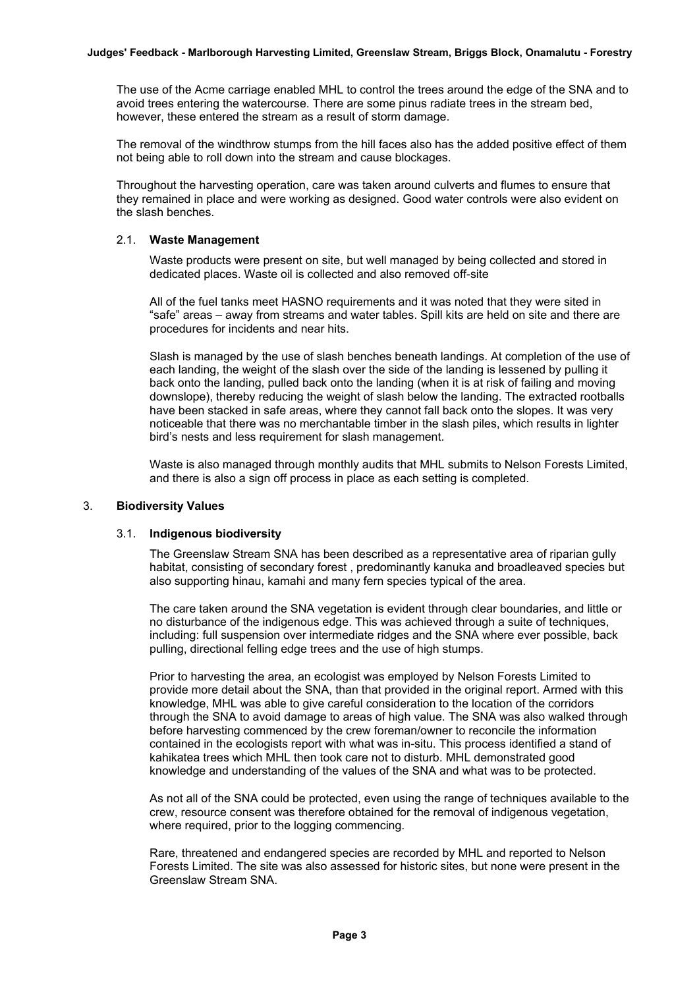The use of the Acme carriage enabled MHL to control the trees around the edge of the SNA and to avoid trees entering the watercourse. There are some pinus radiate trees in the stream bed, however, these entered the stream as a result of storm damage.

The removal of the windthrow stumps from the hill faces also has the added positive effect of them not being able to roll down into the stream and cause blockages.

Throughout the harvesting operation, care was taken around culverts and flumes to ensure that they remained in place and were working as designed. Good water controls were also evident on the slash benches.

#### 2.1. **Waste Management**

Waste products were present on site, but well managed by being collected and stored in dedicated places. Waste oil is collected and also removed off-site

All of the fuel tanks meet HASNO requirements and it was noted that they were sited in "safe" areas – away from streams and water tables. Spill kits are held on site and there are procedures for incidents and near hits.

Slash is managed by the use of slash benches beneath landings. At completion of the use of each landing, the weight of the slash over the side of the landing is lessened by pulling it back onto the landing, pulled back onto the landing (when it is at risk of failing and moving downslope), thereby reducing the weight of slash below the landing. The extracted rootballs have been stacked in safe areas, where they cannot fall back onto the slopes. It was very noticeable that there was no merchantable timber in the slash piles, which results in lighter bird's nests and less requirement for slash management.

Waste is also managed through monthly audits that MHL submits to Nelson Forests Limited, and there is also a sign off process in place as each setting is completed.

#### 3. **Biodiversity Values**

#### 3.1. **Indigenous biodiversity**

The Greenslaw Stream SNA has been described as a representative area of riparian gully habitat, consisting of secondary forest , predominantly kanuka and broadleaved species but also supporting hinau, kamahi and many fern species typical of the area.

The care taken around the SNA vegetation is evident through clear boundaries, and little or no disturbance of the indigenous edge. This was achieved through a suite of techniques, including: full suspension over intermediate ridges and the SNA where ever possible, back pulling, directional felling edge trees and the use of high stumps.

Prior to harvesting the area, an ecologist was employed by Nelson Forests Limited to provide more detail about the SNA, than that provided in the original report. Armed with this knowledge, MHL was able to give careful consideration to the location of the corridors through the SNA to avoid damage to areas of high value. The SNA was also walked through before harvesting commenced by the crew foreman/owner to reconcile the information contained in the ecologists report with what was in-situ. This process identified a stand of kahikatea trees which MHL then took care not to disturb. MHL demonstrated good knowledge and understanding of the values of the SNA and what was to be protected.

As not all of the SNA could be protected, even using the range of techniques available to the crew, resource consent was therefore obtained for the removal of indigenous vegetation, where required, prior to the logging commencing.

Rare, threatened and endangered species are recorded by MHL and reported to Nelson Forests Limited. The site was also assessed for historic sites, but none were present in the Greenslaw Stream SNA.